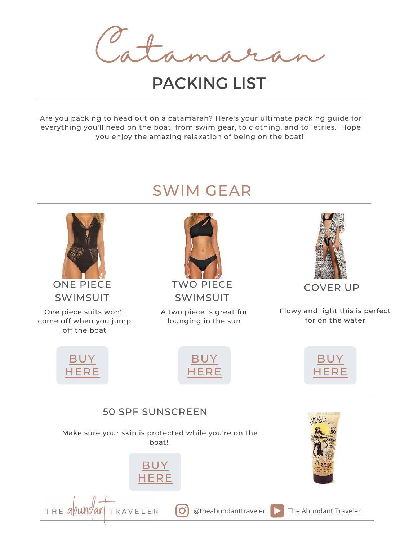Catamaran

# PACKING LIST

Are you packing to head out on a catamaran? Here's your ultimate packing guide for everything you'll need on the boat, from swim gear, to clothing, and toiletries. Hope you enjoy the amazing relaxation of being on the boat!

# SWIM GEAR

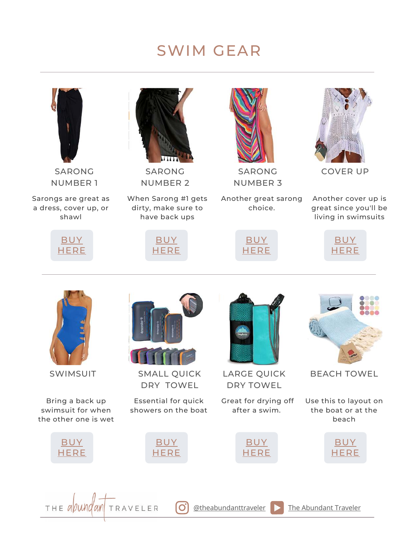# SWIM GEAR

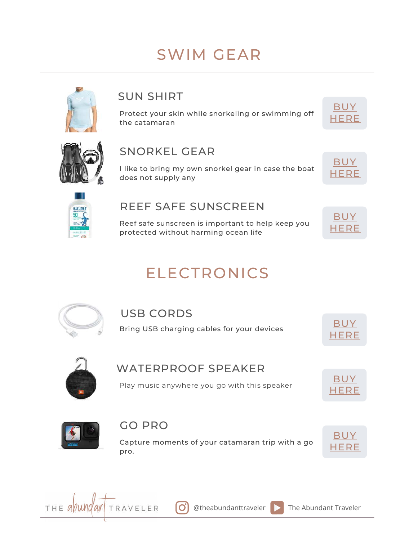# SWIM GEAR



# SUN SHIRT

Protect your skin while snorkeling or swimming off the catamaran





### SNORKEL GEAR

I like to bring my own snorkel gear in case the boat does not supply any





### REEF SAFE SUNSCREEN

Reef safe sunscreen is important to help keep you protected without harming ocean life



# ELECTRONICS



#### USB CORDS

Bring USB charging cables for your devices  $\overline{BUY}$  $\overline{BUY}$  $\overline{BUY}$ 





### WATERPROOF SPEAKER

Play music anywhere you go with this speaker





### GO PRO

Capture moments of your catamaran trip with a go pro.



THE *avund an* TRAVELER **J**<br>[UNE 28, 2020](https://theabundanttraveler.com/), 2020, 2020, 2020, 2020, 2020, 2020, 2020, 2020, 2020, 2020, 2020, 2020, 2020, 2020, 2020, 2020, 20

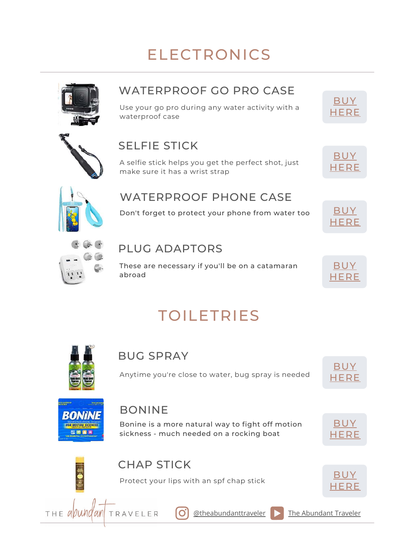# ELECTRONICS



# WATERPROOF GO PRO CASE

Use your go pro during any water activity with a waterproof case

# SELFIE STICK

A selfie stick helps you get the perfect shot, just make sure it has a wrist strap



[BUY](https://amzn.to/36QDKoo) **[HERE](https://amzn.to/36QDKoo)** 



### WATERPROOF PHONE CASE

Don't forget to protect your phone from water too  $\overline{\rm BUY}$  $\overline{\rm BUY}$  $\overline{\rm BUY}$ 





### PLUG ADAPTORS

These are necessary if you'll be on a catamaran abroad



# TOILETRIES



### BUG SPRAY

Anytime you're close to water, bug spray is needed





## BONINE

TRAVELER

Bonine is a more natural way to fight off motion sickness - much needed on a rocking boat

**J[UNE 28, 2020](https://theabundanttraveler.com/) MORRIS FAMILY AND TRAVEL 28, 2020** 





 $THE$  all und an

# CHAP STICK

Protect your lips with an spf chap stick  $\overline{BUY}$  $\overline{BUY}$  $\overline{BUY}$ 

l Oʻ





 $\phi$ theabundanttraveler **[The Abundant Traveler](https://www.youtube.com/channel/UCH-u_k-LZ2TeX2KwydzeRKw)**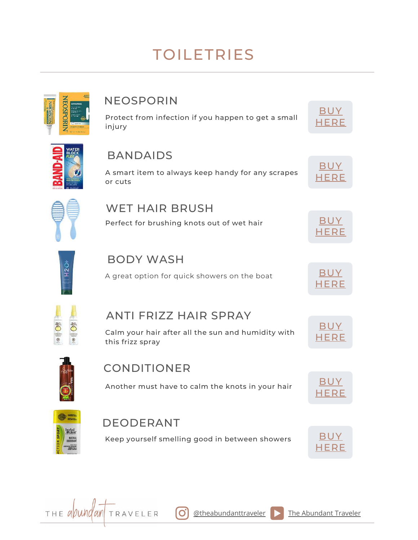# TOILETRIES



# NEOSPORIN

Protect from infection if you happen to get a small injury



[BUY](https://amzn.to/3NssAah) [HERE](https://amzn.to/3NssAah)



## BANDAIDS

A smart item to always keep handy for any scrapes or cuts



#### WET HAIR BRUSH Perfect for brushing knots out of wet hair [BUY](https://amzn.to/3tNs4Ml)





# BODY WASH

A great option for quick showers on the boat [BUY](https://amzn.to/36SPhn2)



# ANTI FRIZZ HAIR SPRAY

Calm your hair after all the sun and humidity with this frizz spray



**OB** 

herba<br>Woks **MATORA** 

 $\bullet$ 

 $\odot$ 

## CONDITIONER

Another must have to calm the knots in your hair [BUY](https://amzn.to/3iKrEjw)

### DEODERANT

Keep yourself smelling good in between showers **[BUY](https://amzn.to/3DlaAtW)** 

l Oʻ











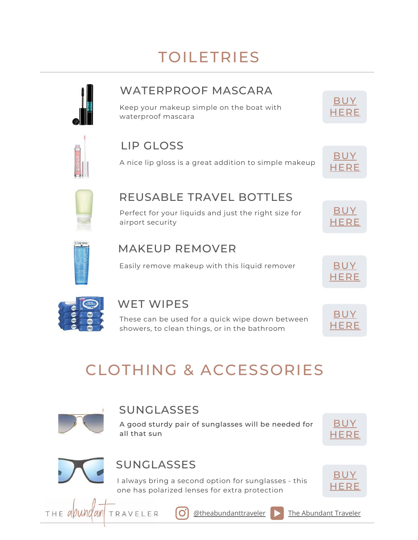# TOILETRIES

## WATERPROOF MASCARA

Keep your makeup simple on the boat with waterproof mascara

# LIP GLOSS

A nice lip gloss is a great addition to simple makeup



[BUY](https://amzn.to/3iIae7a) **[HERE](https://amzn.to/3iIae7a)** 



### REUSABLE TRAVEL BOTTLES

Perfect for your liquids and just the right size for airport security





## MAKEUP REMOVER

Easily remove makeup with this liquid remover [BUY](https://amzn.to/3r4Deur)





# WET WIPES

These can be used for a quick wipe down between showers, to clean things, or in the bathroom



# CLOTHING & ACCESSORIES



## **SUNGLASSES**

A good sturdy pair of sunglasses will be needed for all that sun





 $THE$  a *pund an* 

# SUNGLASSES

I always bring a second option for sunglasses - this one has polarized lenses for extra protection





IO.

 $\phi$ theabundanttraveler **[The Abundant Traveler](https://www.youtube.com/channel/UCH-u_k-LZ2TeX2KwydzeRKw)**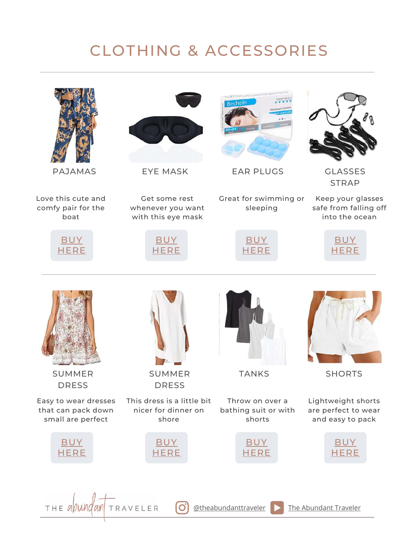# CLOTHING & ACCESSORIES